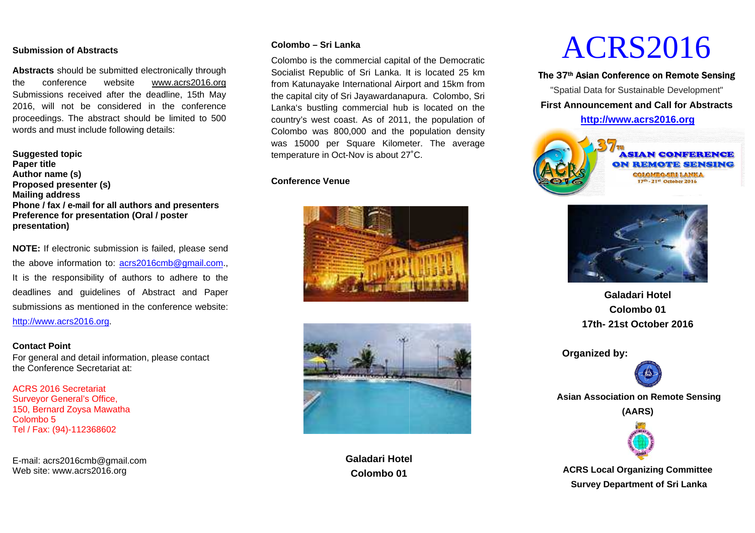#### **Submission of Abstracts**

**Abstracts** should be submitted electronically throughthe conference website Submissions received after the deadline, 152016, will not be considered in the conference proceedings. The abstract should be limited to 5 500 words and must include following details: conference website<br>nissions received after the<br>, will not be considered www.acrs2016.org15th Ma

**Suggested topicPaper title Author name (s) Proposed presenter (s)presenter Mailing address Phone / fax / e**-mail **for all authors and presenters Preference for presentation (Ofor )(Oral / poster presentation)**

**NOTE:** If electronic submission is failed, please send the above information to: **acrs2016cmb@gmail.com**., It is the responsibility of authors to adhere to the deadlines and guidelines of Abstract and Paper submissions as mentioned in the conference website:http://www.acrs2016.orgdeadlines and guidelines of Abstract and Paper<br>submissions as mentioned in the conference website:<br><u>http://www.acrs2016.org</u>. submitted electronically through<br>website www.acrs2016.org<br>d after the deadline, 15th May<br>considered in the conference<br>stract should be limited to 500<br>de following details:<br>(s)<br>or all authors and presenters<br>matation (Oral /

#### **Contact Point**

For general and detail information, please contact the Conference Secretariat at:

ACRS 2016 Secretariat Surveyor General's Office, 150, Bernard Zoysa MawathaColombo 5 Tel / Fax: (94)-112368602

E-mail: acrs201mail: acrs2016cmb@gmail.comWeb site: www.acrs2016.org

#### **– Sri Lanka**

Colombo<br>
rough<br>
Colombo i<br>
Socialist F<br>
In May<br>
the capital<br>
rence<br>
D 500<br>
Colombo<br>
was 1500<br>
temperatur<br>
Conference<br>
ters<br>
e send<br>
<u>.com</u>.,<br>
to the Colombo is the commercial capital of the Democratic Socialist Republic of Sri Lanka. It is located 25 km from Katunayake International Airport and 15km from the capital city of Sri Jayawardanapura. Colombo, Sri Lanka's bustling commercial hub is located on the country's west coast. As of 2011, the population of Lanka's bustling commercial hub is located on the<br>country's west coast. As of 2011, the population of<br>Colombo was 800,000 and the population density was 15000 per Square Kilometer. The average temperature in Oct-Nov is about 27°C. Is located 25 km<br>
Internal 15km from<br>
Ira. Colombo, Sri<br>
s located on the<br>
the population of<br>
opulation density

#### **Conference Venue**





**Galadari HotelColombo 01**

# ACRS201

#### 37th Asian Conference on Remote Sensing

**First Announcement and Call for Abstracts**"Spatial Data for Sustainable Development"







**Galadari Hotel Colombo 01 17th- 211st October 202016** 

**Organized by: Organized by:** 



 **Asian Association on Remote Remote Sensing** 

**(AARS)** 



**ACRS Local Organizing CommitteeSurvey Department of Sri Lanka**